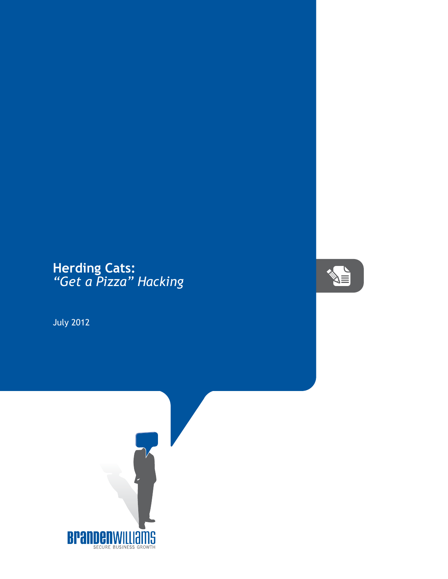## **Herding Cats:** *"Get a Pizza" Hacking*

July 2012



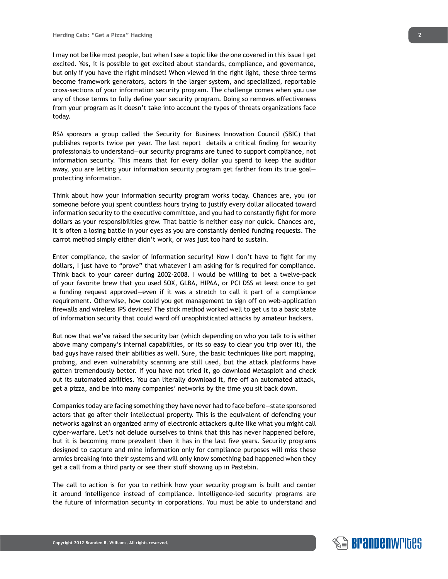I may not be like most people, but when I see a topic like the one covered in this issue I get excited. Yes, it is possible to get excited about standards, compliance, and governance, but only if you have the right mindset! When viewed in the right light, these three terms become framework generators, actors in the larger system, and specialized, reportable cross-sections of your information security program. The challenge comes when you use any of those terms to fully define your security program. Doing so removes effectiveness from your program as it doesn't take into account the types of threats organizations face today.

RSA sponsors a group called the Security for Business Innovation Council (SBIC) that publishes reports twice per year. The last report details a critical finding for security professionals to understand—our security programs are tuned to support compliance, not information security. This means that for every dollar you spend to keep the auditor away, you are letting your information security program get farther from its true goal protecting information.

Think about how your information security program works today. Chances are, you (or someone before you) spent countless hours trying to justify every dollar allocated toward information security to the executive committee, and you had to constantly fight for more dollars as your responsibilities grew. That battle is neither easy nor quick. Chances are, it is often a losing battle in your eyes as you are constantly denied funding requests. The carrot method simply either didn't work, or was just too hard to sustain.

Enter compliance, the savior of information security! Now I don't have to fight for my dollars, I just have to "prove" that whatever I am asking for is required for compliance. Think back to your career during 2002-2008. I would be willing to bet a twelve-pack of your favorite brew that you used SOX, GLBA, HIPAA, or PCI DSS at least once to get a funding request approved—even if it was a stretch to call it part of a compliance requirement. Otherwise, how could you get management to sign off on web-application firewalls and wireless IPS devices? The stick method worked well to get us to a basic state of information security that could ward off unsophisticated attacks by amateur hackers.

But now that we've raised the security bar (which depending on who you talk to is either above many company's internal capabilities, or its so easy to clear you trip over it), the bad guys have raised their abilities as well. Sure, the basic techniques like port mapping, probing, and even vulnerability scanning are still used, but the attack platforms have gotten tremendously better. If you have not tried it, go download Metasploit and check out its automated abilities. You can literally download it, fire off an automated attack, get a pizza, and be into many companies' networks by the time you sit back down.

Companies today are facing something they have never had to face before—state sponsored actors that go after their intellectual property. This is the equivalent of defending your networks against an organized army of electronic attackers quite like what you might call cyber-warfare. Let's not delude ourselves to think that this has never happened before, but it is becoming more prevalent then it has in the last five years. Security programs designed to capture and mine information only for compliance purposes will miss these armies breaking into their systems and will only know something bad happened when they get a call from a third party or see their stuff showing up in Pastebin.

The call to action is for you to rethink how your security program is built and center it around intelligence instead of compliance. Intelligence-led security programs are the future of information security in corporations. You must be able to understand and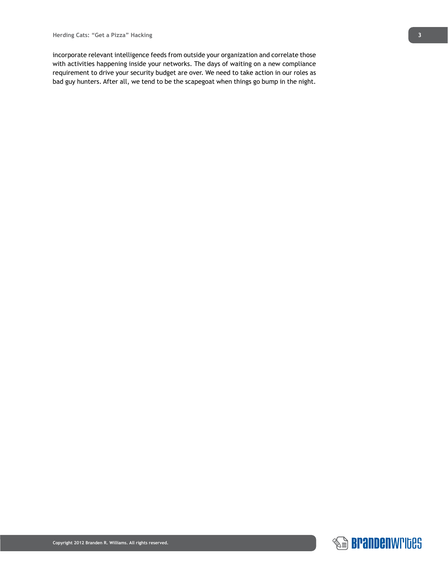incorporate relevant intelligence feeds from outside your organization and correlate those with activities happening inside your networks. The days of waiting on a new compliance requirement to drive your security budget are over. We need to take action in our roles as bad guy hunters. After all, we tend to be the scapegoat when things go bump in the night.